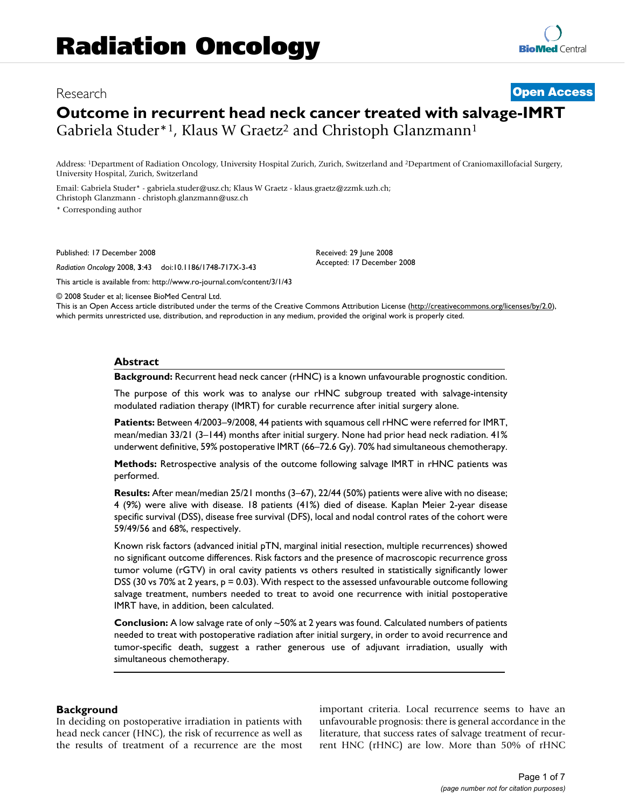# **Outcome in recurrent head neck cancer treated with salvage-IMRT** Gabriela Studer\*1, Klaus W Graetz<sup>2</sup> and Christoph Glanzmann<sup>1</sup>

Address: 1Department of Radiation Oncology, University Hospital Zurich, Zurich, Switzerland and 2Department of Craniomaxillofacial Surgery, University Hospital, Zurich, Switzerland

Email: Gabriela Studer\* - gabriela.studer@usz.ch; Klaus W Graetz - klaus.graetz@zzmk.uzh.ch; Christoph Glanzmann - christoph.glanzmann@usz.ch

\* Corresponding author

Published: 17 December 2008

*Radiation Oncology* 2008, **3**:43 doi:10.1186/1748-717X-3-43

Received: 29 June 2008 Accepted: 17 December 2008

[This article is available from: http://www.ro-journal.com/content/3/1/43](http://www.ro-journal.com/content/3/1/43)

© 2008 Studer et al; licensee BioMed Central Ltd.

This is an Open Access article distributed under the terms of the Creative Commons Attribution License [\(http://creativecommons.org/licenses/by/2.0\)](http://creativecommons.org/licenses/by/2.0), which permits unrestricted use, distribution, and reproduction in any medium, provided the original work is properly cited.

## **Abstract**

**Background:** Recurrent head neck cancer (rHNC) is a known unfavourable prognostic condition.

The purpose of this work was to analyse our rHNC subgroup treated with salvage-intensity modulated radiation therapy (IMRT) for curable recurrence after initial surgery alone.

**Patients:** Between 4/2003–9/2008, 44 patients with squamous cell rHNC were referred for IMRT, mean/median 33/21 (3–144) months after initial surgery. None had prior head neck radiation. 41% underwent definitive, 59% postoperative IMRT (66–72.6 Gy). 70% had simultaneous chemotherapy.

**Methods:** Retrospective analysis of the outcome following salvage IMRT in rHNC patients was performed.

**Results:** After mean/median 25/21 months (3–67), 22/44 (50%) patients were alive with no disease; 4 (9%) were alive with disease. 18 patients (41%) died of disease. Kaplan Meier 2-year disease specific survival (DSS), disease free survival (DFS), local and nodal control rates of the cohort were 59/49/56 and 68%, respectively.

Known risk factors (advanced initial pTN, marginal initial resection, multiple recurrences) showed no significant outcome differences. Risk factors and the presence of macroscopic recurrence gross tumor volume (rGTV) in oral cavity patients vs others resulted in statistically significantly lower DSS (30 vs 70% at 2 years, p = 0.03). With respect to the assessed unfavourable outcome following salvage treatment, numbers needed to treat to avoid one recurrence with initial postoperative IMRT have, in addition, been calculated.

**Conclusion:** A low salvage rate of only ~50% at 2 years was found. Calculated numbers of patients needed to treat with postoperative radiation after initial surgery, in order to avoid recurrence and tumor-specific death, suggest a rather generous use of adjuvant irradiation, usually with simultaneous chemotherapy.

#### **Background**

In deciding on postoperative irradiation in patients with head neck cancer (HNC), the risk of recurrence as well as the results of treatment of a recurrence are the most important criteria. Local recurrence seems to have an unfavourable prognosis: there is general accordance in the literature, that success rates of salvage treatment of recurrent HNC (rHNC) are low. More than 50% of rHNC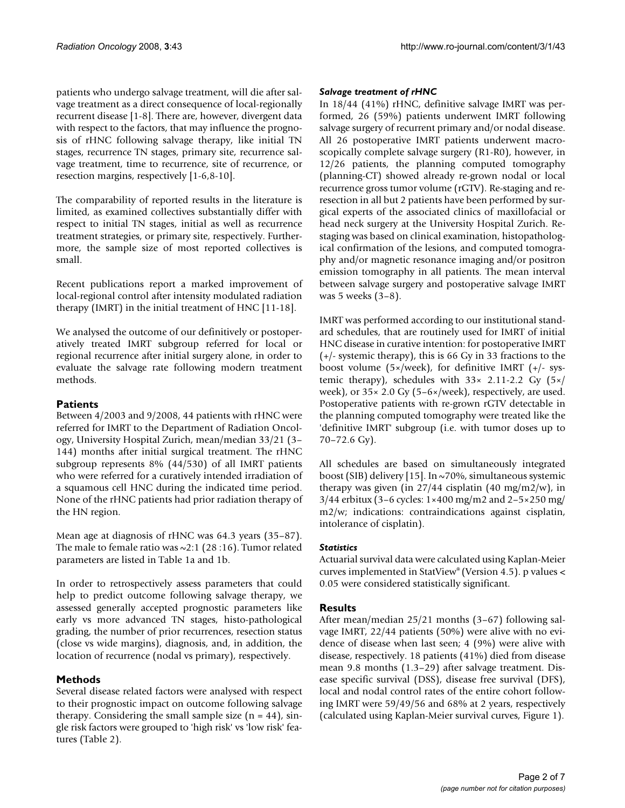patients who undergo salvage treatment, will die after salvage treatment as a direct consequence of local-regionally recurrent disease [1-8]. There are, however, divergent data with respect to the factors, that may influence the prognosis of rHNC following salvage therapy, like initial TN stages, recurrence TN stages, primary site, recurrence salvage treatment, time to recurrence, site of recurrence, or resection margins, respectively [1-6,8-10].

The comparability of reported results in the literature is limited, as examined collectives substantially differ with respect to initial TN stages, initial as well as recurrence treatment strategies, or primary site, respectively. Furthermore, the sample size of most reported collectives is small.

Recent publications report a marked improvement of local-regional control after intensity modulated radiation therapy (IMRT) in the initial treatment of HNC [11-18].

We analysed the outcome of our definitively or postoperatively treated IMRT subgroup referred for local or regional recurrence after initial surgery alone, in order to evaluate the salvage rate following modern treatment methods.

# **Patients**

Between 4/2003 and 9/2008, 44 patients with rHNC were referred for IMRT to the Department of Radiation Oncology, University Hospital Zurich, mean/median 33/21 (3– 144) months after initial surgical treatment. The rHNC subgroup represents 8% (44/530) of all IMRT patients who were referred for a curatively intended irradiation of a squamous cell HNC during the indicated time period. None of the rHNC patients had prior radiation therapy of the HN region.

Mean age at diagnosis of rHNC was 64.3 years (35–87). The male to female ratio was  $\sim$ 2:1 (28:16). Tumor related parameters are listed in Table 1a and 1b.

In order to retrospectively assess parameters that could help to predict outcome following salvage therapy, we assessed generally accepted prognostic parameters like early vs more advanced TN stages, histo-pathological grading, the number of prior recurrences, resection status (close vs wide margins), diagnosis, and, in addition, the location of recurrence (nodal vs primary), respectively.

# **Methods**

Several disease related factors were analysed with respect to their prognostic impact on outcome following salvage therapy. Considering the small sample size  $(n = 44)$ , single risk factors were grouped to 'high risk' vs 'low risk' features (Table 2).

# *Salvage treatment of rHNC*

In 18/44 (41%) rHNC, definitive salvage IMRT was performed, 26 (59%) patients underwent IMRT following salvage surgery of recurrent primary and/or nodal disease. All 26 postoperative IMRT patients underwent macroscopically complete salvage surgery (R1-R0), however, in 12/26 patients, the planning computed tomography (planning-CT) showed already re-grown nodal or local recurrence gross tumor volume (rGTV). Re-staging and reresection in all but 2 patients have been performed by surgical experts of the associated clinics of maxillofacial or head neck surgery at the University Hospital Zurich. Restaging was based on clinical examination, histopathological confirmation of the lesions, and computed tomography and/or magnetic resonance imaging and/or positron emission tomography in all patients. The mean interval between salvage surgery and postoperative salvage IMRT was 5 weeks (3–8).

IMRT was performed according to our institutional standard schedules, that are routinely used for IMRT of initial HNC disease in curative intention: for postoperative IMRT (+/- systemic therapy), this is 66 Gy in 33 fractions to the boost volume (5×/week), for definitive IMRT (+/- systemic therapy), schedules with 33× 2.11-2.2 Gy (5×/ week), or  $35 \times 2.0$  Gy ( $5-6 \times$ /week), respectively, are used. Postoperative patients with re-grown rGTV detectable in the planning computed tomography were treated like the 'definitive IMRT' subgroup (i.e. with tumor doses up to 70–72.6 Gy).

All schedules are based on simultaneously integrated boost (SIB) delivery [15]. In ~70%, simultaneous systemic therapy was given (in  $27/44$  cisplatin (40 mg/m2/w), in  $3/44$  erbitux (3–6 cycles:  $1 \times 400$  mg/m2 and  $2-5 \times 250$  mg/ m2/w; indications: contraindications against cisplatin, intolerance of cisplatin).

# *Statistics*

Actuarial survival data were calculated using Kaplan-Meier curves implemented in StatView® (Version 4.5). p values < 0.05 were considered statistically significant.

# **Results**

After mean/median 25/21 months (3–67) following salvage IMRT, 22/44 patients (50%) were alive with no evidence of disease when last seen; 4 (9%) were alive with disease, respectively. 18 patients (41%) died from disease mean 9.8 months (1.3–29) after salvage treatment. Disease specific survival (DSS), disease free survival (DFS), local and nodal control rates of the entire cohort following IMRT were 59/49/56 and 68% at 2 years, respectively (calculated using Kaplan-Meier survival curves, Figure 1).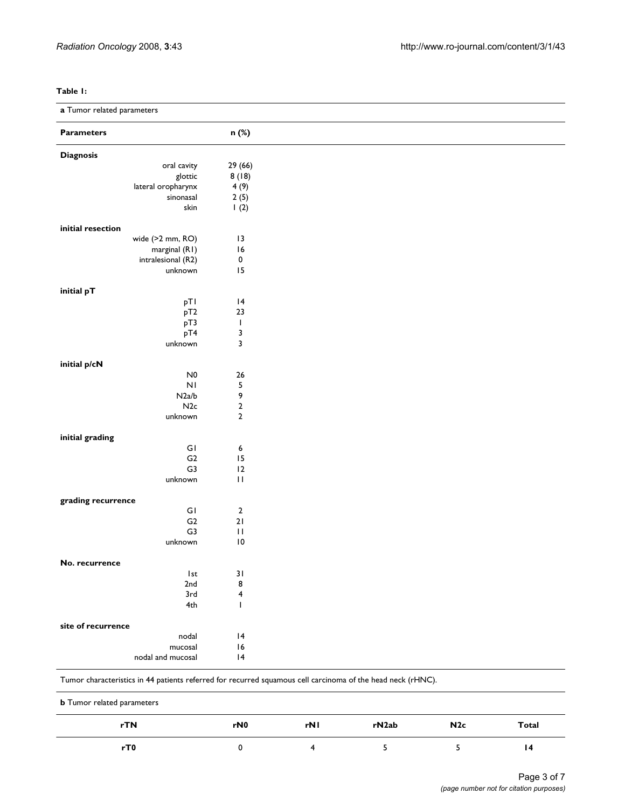### **Table 1:**

**a** Tumor related parameters

| a . ao. . o.a.oo pa. ao.o. o |                  |  |
|------------------------------|------------------|--|
| <b>Parameters</b>            | n (%)            |  |
| <b>Diagnosis</b>             |                  |  |
| oral cavity                  | 29(66)           |  |
| glottic                      | 8(18)            |  |
| lateral oropharynx           | 4(9)             |  |
| sinonasal                    | 2(5)             |  |
| skin                         | 1(2)             |  |
| initial resection            |                  |  |
| wide (>2 mm, RO)             | $\overline{13}$  |  |
| marginal (R1)                | 16               |  |
| intralesional (R2)           | $\pmb{0}$        |  |
| unknown                      | 15               |  |
|                              |                  |  |
| initial pT                   |                  |  |
| pTI                          | 4                |  |
| pT2                          | 23               |  |
| pT3                          | $\mathbf{I}$     |  |
| pT4                          | $\mathsf 3$      |  |
| unknown                      | $\mathbf{3}$     |  |
| initial p/cN                 |                  |  |
| $N0$                         | $26\,$           |  |
| N <sub>1</sub>               | 5                |  |
| N2a/b                        | 9                |  |
| N2c                          | $\mathbf 2$      |  |
| unknown                      | $\mathbf 2$      |  |
| initial grading              |                  |  |
| GI                           | $\epsilon$       |  |
| G2                           | 15               |  |
| G3                           | 12               |  |
| unknown                      | $\mathbf{H}$     |  |
|                              |                  |  |
| grading recurrence           |                  |  |
| GI                           | $\boldsymbol{2}$ |  |
| G2                           | $21$             |  |
| G3                           | $\mathbf{H}$     |  |
| unknown                      | $\overline{10}$  |  |
| No. recurrence               |                  |  |
| l st                         | 31               |  |
| 2nd                          | 8                |  |
| 3rd                          | 4                |  |
| 4th                          | $\mathbf{I}$     |  |
| site of recurrence           |                  |  |
| nodal                        | 4                |  |
| mucosal                      | 16               |  |
| nodal and mucosal            | 4                |  |
|                              |                  |  |

Tumor characteristics in 44 patients referred for recurred squamous cell carcinoma of the head neck (rHNC).

| <b>b</b> Tumor related parameters |                 |     |       |     |       |  |  |
|-----------------------------------|-----------------|-----|-------|-----|-------|--|--|
| rTN                               | rN <sub>0</sub> | rNI | rN2ab | N2c | Total |  |  |
| rT0                               |                 |     |       |     | 14    |  |  |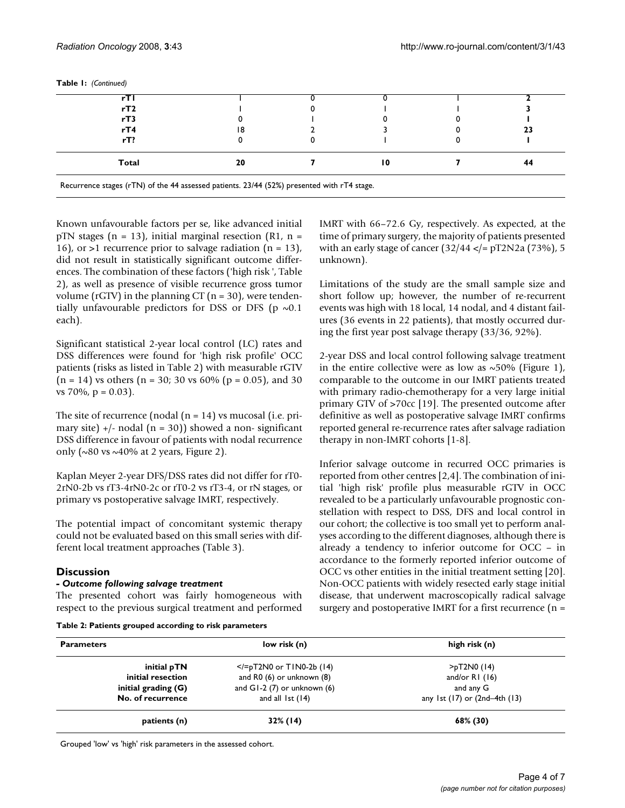| Total | 20 | 10 | 44 |
|-------|----|----|----|
| rT?   |    |    |    |
| rT4   |    |    | 23 |
| rT3   |    |    |    |
| rT2   |    |    |    |
| rТ    |    |    |    |

**Table 1:** *(Continued)*

Known unfavourable factors per se, like advanced initial pTN stages ( $n = 13$ ), initial marginal resection (R1,  $n =$ 16), or >1 recurrence prior to salvage radiation  $(n = 13)$ , did not result in statistically significant outcome differences. The combination of these factors ('high risk ', Table 2), as well as presence of visible recurrence gross tumor volume (rGTV) in the planning CT ( $n = 30$ ), were tendentially unfavourable predictors for DSS or DFS ( $p \sim 0.1$ ) each).

Significant statistical 2-year local control (LC) rates and DSS differences were found for 'high risk profile' OCC patients (risks as listed in Table 2) with measurable rGTV  $(n = 14)$  vs others  $(n = 30; 30 \text{ vs } 60\% (p = 0.05)$ , and 30 vs  $70\%$ ,  $p = 0.03$ ).

The site of recurrence (nodal  $(n = 14)$  vs mucosal (i.e. primary site)  $+/-$  nodal (n = 30)) showed a non-significant DSS difference in favour of patients with nodal recurrence only ( $\sim$ 80 vs  $\sim$ 40% at 2 years, Figure 2).

Kaplan Meyer 2-year DFS/DSS rates did not differ for rT0- 2rN0-2b vs rT3-4rN0-2c or rT0-2 vs rT3-4, or rN stages, or primary vs postoperative salvage IMRT, respectively.

The potential impact of concomitant systemic therapy could not be evaluated based on this small series with different local treatment approaches (Table 3).

# **Discussion**

# *- Outcome following salvage treatment*

The presented cohort was fairly homogeneous with respect to the previous surgical treatment and performed

| Table 2: Patients grouped according to risk parameters |  |  |
|--------------------------------------------------------|--|--|
|                                                        |  |  |

IMRT with 66–72.6 Gy, respectively. As expected, at the time of primary surgery, the majority of patients presented with an early stage of cancer  $(32/44 <$ /= pT2N2a  $(73%)$ , 5 unknown).

Limitations of the study are the small sample size and short follow up; however, the number of re-recurrent events was high with 18 local, 14 nodal, and 4 distant failures (36 events in 22 patients), that mostly occurred during the first year post salvage therapy (33/36, 92%).

2-year DSS and local control following salvage treatment in the entire collective were as low as  $\sim$ 50% (Figure 1), comparable to the outcome in our IMRT patients treated with primary radio-chemotherapy for a very large initial primary GTV of >70cc [19]. The presented outcome after definitive as well as postoperative salvage IMRT confirms reported general re-recurrence rates after salvage radiation therapy in non-IMRT cohorts [1-8].

Inferior salvage outcome in recurred OCC primaries is reported from other centres [2,4]. The combination of initial 'high risk' profile plus measurable rGTV in OCC revealed to be a particularly unfavourable prognostic constellation with respect to DSS, DFS and local control in our cohort; the collective is too small yet to perform analyses according to the different diagnoses, although there is already a tendency to inferior outcome for OCC – in accordance to the formerly reported inferior outcome of OCC vs other entities in the initial treatment setting [20]. Non-OCC patients with widely resected early stage initial disease, that underwent macroscopically radical salvage surgery and postoperative IMRT for a first recurrence (n =

| <b>Parameters</b>     | low risk (n)                  | high risk (n)                   |
|-----------------------|-------------------------------|---------------------------------|
| initial pTN           | $\le$ /=pT2N0 or TIN0-2b (14) | >pT2N0(14)                      |
| initial resection     | and R0 (6) or unknown (8)     | and/or $RI(16)$                 |
| initial grading $(G)$ | and $GI-2$ (7) or unknown (6) | and any G                       |
| No. of recurrence     | and all $1st(14)$             | any 1st (17) or $(2nd-4th(13))$ |
| patients (n)          | $32\%$ (14)                   | 68% (30)                        |

Grouped 'low' vs 'high' risk parameters in the assessed cohort.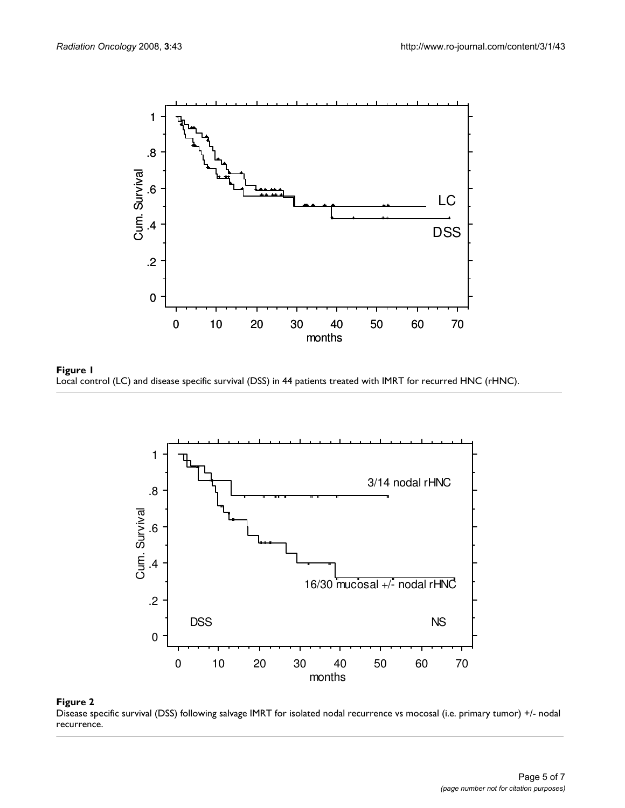





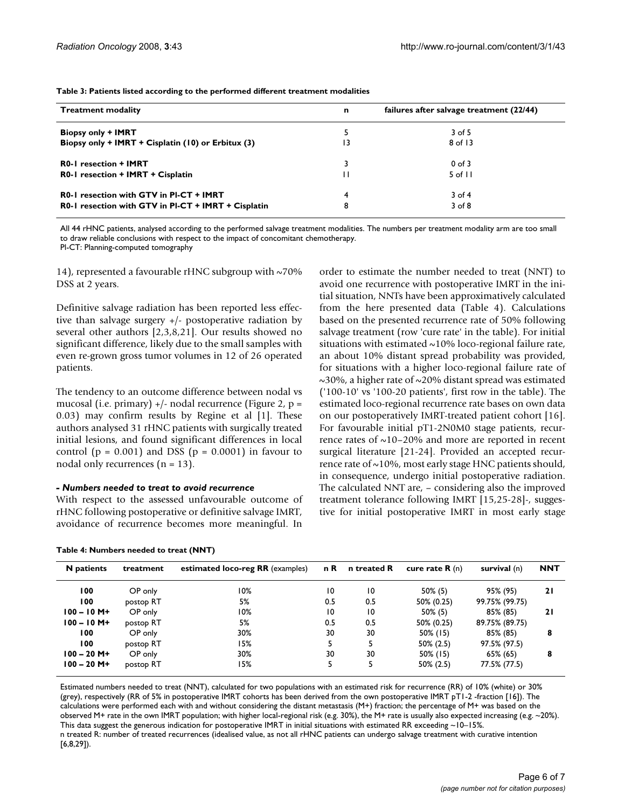**Table 3: Patients listed according to the performed different treatment modalities**

| <b>Treatment modality</b>                           | n  | failures after salvage treatment (22/44) |
|-----------------------------------------------------|----|------------------------------------------|
| <b>Biopsy only + IMRT</b>                           | 5  | $3$ of 5                                 |
| Biopsy only + IMRT + Cisplatin (10) or Erbitux (3)  | 13 | 8 of 13                                  |
| <b>R0-1</b> resection + <b>IMRT</b>                 |    | $0$ of $3$                               |
| R0-1 resection + IMRT + Cisplatin                   | П  | $5$ of $11$                              |
| R0-1 resection with GTV in PI-CT + IMRT             | 4  | $3$ of 4                                 |
| R0-1 resection with GTV in PI-CT + IMRT + Cisplatin | 8  | $3$ of $8$                               |

All 44 rHNC patients, analysed according to the performed salvage treatment modalities. The numbers per treatment modality arm are too small to draw reliable conclusions with respect to the impact of concomitant chemotherapy.

Pl-CT: Planning-computed tomography

14), represented a favourable rHNC subgroup with ~70% DSS at 2 years.

Definitive salvage radiation has been reported less effective than salvage surgery +/- postoperative radiation by several other authors [2,3,8,21]. Our results showed no significant difference, likely due to the small samples with even re-grown gross tumor volumes in 12 of 26 operated patients.

The tendency to an outcome difference between nodal vs mucosal (i.e. primary) +/- nodal recurrence (Figure 2, p = 0.03) may confirm results by Regine et al [1]. These authors analysed 31 rHNC patients with surgically treated initial lesions, and found significant differences in local control ( $p = 0.001$ ) and DSS ( $p = 0.0001$ ) in favour to nodal only recurrences  $(n = 13)$ .

#### *- Numbers needed to treat to avoid recurrence*

With respect to the assessed unfavourable outcome of rHNC following postoperative or definitive salvage IMRT, avoidance of recurrence becomes more meaningful. In

|  | Table 4: Numbers needed to treat (NNT) |  |  |
|--|----------------------------------------|--|--|
|  |                                        |  |  |

order to estimate the number needed to treat (NNT) to avoid one recurrence with postoperative IMRT in the initial situation, NNTs have been approximatively calculated from the here presented data (Table 4). Calculations based on the presented recurrence rate of 50% following salvage treatment (row 'cure rate' in the table). For initial situations with estimated  $\sim$ 10% loco-regional failure rate, an about 10% distant spread probability was provided, for situations with a higher loco-regional failure rate of ~30%, a higher rate of ~20% distant spread was estimated ('100-10' vs '100-20 patients', first row in the table). The estimated loco-regional recurrence rate bases on own data on our postoperatively IMRT-treated patient cohort [16]. For favourable initial pT1-2N0M0 stage patients, recurrence rates of  $\sim$ 10–20% and more are reported in recent surgical literature [21-24]. Provided an accepted recurrence rate of  $\sim$ 10%, most early stage HNC patients should, in consequence, undergo initial postoperative radiation. The calculated NNT are, – considering also the improved treatment tolerance following IMRT [15,25-28]-, suggestive for initial postoperative IMRT in most early stage

| N patients     | treatment | estimated loco-reg RR (examples) | n R | n treated R     | cure rate $\mathbf{R}$ (n) | survival (n)   | <b>NNT</b> |
|----------------|-----------|----------------------------------|-----|-----------------|----------------------------|----------------|------------|
| 100            | OP only   | 10%                              | 10  | $\overline{10}$ | $50\%$ (5)                 | 95% (95)       | 21         |
| 100            | postop RT | 5%                               | 0.5 | 0.5             | 50% (0.25)                 | 99.75% (99.75) |            |
| $100 - 10 M +$ | OP only   | 10%                              | 10  | 10              | $50\%$ (5)                 | 85% (85)       | 21         |
| $100 - 10 M +$ | postop RT | 5%                               | 0.5 | 0.5             | 50% (0.25)                 | 89.75% (89.75) |            |
| 100            | OP only   | 30%                              | 30  | 30              | 50% (15)                   | 85% (85)       | 8          |
| 100            | postop RT | 15%                              | 5   |                 | $50\%$ (2.5)               | 97.5% (97.5)   |            |
| $100 - 20$ M+  | OP only   | 30%                              | 30  | 30              | 50% (15)                   | 65% (65)       | 8          |
| $100 - 20$ M+  | postop RT | 15%                              | 5   |                 | $50\%$ (2.5)               | 77.5% (77.5)   |            |

Estimated numbers needed to treat (NNT), calculated for two populations with an estimated risk for recurrence (RR) of 10% (white) or 30% (grey), respectively (RR of 5% in postoperative IMRT cohorts has been derived from the own postoperative IMRT pT1-2 -fraction [16]). The calculations were performed each with and without considering the distant metastasis (M+) fraction; the percentage of M+ was based on the observed M+ rate in the own IMRT population; with higher local-regional risk (e.g. 30%), the M+ rate is usually also expected increasing (e.g. ~20%). This data suggest the generous indication for postoperative IMRT in initial situations with estimated RR exceeding ~10–15%. n treated R: number of treated recurrences (idealised value, as not all rHNC patients can undergo salvage treatment with curative intention [6,8,29]).